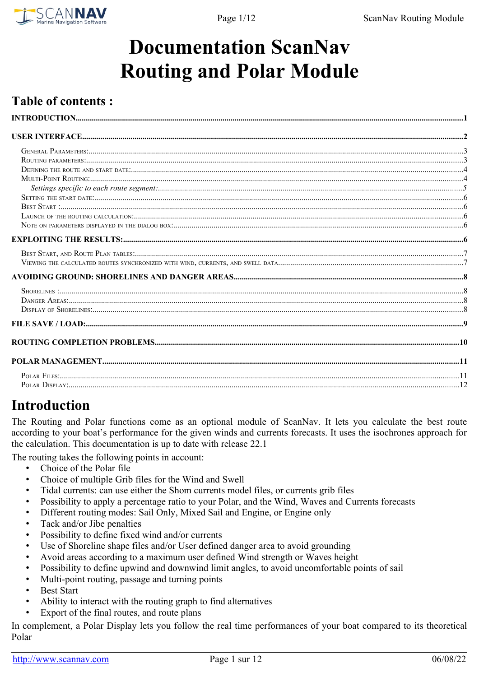

# **Documentation ScanNav Routing and Polar Module**

# **Table of contents:**

# <span id="page-0-0"></span>**Introduction**

The Routing and Polar functions come as an optional module of ScanNav. It lets you calculate the best route according to your boat's performance for the given winds and currents forecasts. It uses the isochrones approach for the calculation. This documentation is up to date with release 22.1

The routing takes the following points in account:

- Choice of the Polar file
- Choice of multiple Grib files for the Wind and Swell
- Tidal currents: can use either the Shom currents model files, or currents grib files
- Possibility to apply a percentage ratio to your Polar, and the Wind, Waves and Currents forecasts
- Different routing modes: Sail Only, Mixed Sail and Engine, or Engine only
- Tack and/or Jibe penalties
- Possibility to define fixed wind and/or currents
- Use of Shoreline shape files and/or User defined danger area to avoid grounding
- Avoid areas according to a maximum user defined Wind strength or Waves height
- Possibility to define upwind and downwind limit angles, to avoid uncomfortable points of sail
- Multi-point routing, passage and turning points
- **Best Start**
- Ability to interact with the routing graph to find alternatives
- Export of the final routes, and route plans

In complement, a Polar Display lets you follow the real time performances of your boat compared to its theoretical Polar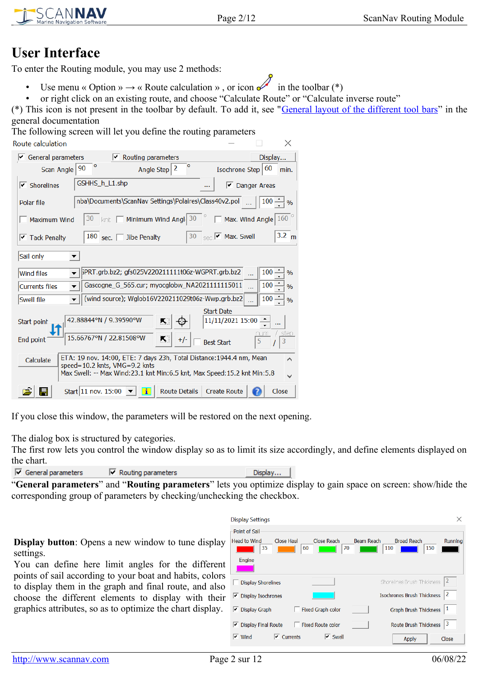# <span id="page-1-0"></span>**User Interface**

ANNAV

To enter the Routing module, you may use 2 methods:

- Use menu « Option »  $\rightarrow$  « Route calculation », or icon  $\mathscr{I}$  in the toolbar (\*)
- or right click on an existing route, and choose "Calculate Route" or "Calculate inverse route"

(\*) This icon is not present in the toolbar by default. To add it, see "[General layout of the different tool bars"](ScanNav.htm#disposition) in the general documentation

The following screen will let you define the routing parameters Design and collection

| noute calculation.                                                                                                                                                                            | ╱╲                                    |
|-----------------------------------------------------------------------------------------------------------------------------------------------------------------------------------------------|---------------------------------------|
| $\sqrt{\phantom{a}}$ General parameters<br>Routing parameters                                                                                                                                 | Display                               |
| $\circ$<br>۰<br>2<br>90<br>Isochrone Step<br>Scan Angle<br>Angle Step                                                                                                                         | 60<br>min.                            |
| GSHHS_h_L1.shp<br>$\triangledown$ Shorelines                                                                                                                                                  | Danger Areas                          |
| nba\Documents\ScanNav Settings\Polaires\Class40v2.pol<br>Polar file                                                                                                                           | 100 <sub>1</sub><br>$\frac{1}{2}$ %   |
| Minimum Wind Angl 30<br>30<br>Maximum Wind                                                                                                                                                    | $\Box$ Max. Wind Angle $160$ $^\circ$ |
| $\overline{\phantom{a}}$ $\overline{\phantom{a}}$ Max. Swell<br>180 sec. $\lceil$<br>30<br>Jibe Penalty<br>$\boxed{\checkmark}$ Tack Penalty                                                  | $3.2 \text{ m}$                       |
| Sail only                                                                                                                                                                                     |                                       |
| <b>Wind files</b>                                                                                                                                                                             | $100 -$<br>$\frac{0}{6}$              |
| Gascogne G 565.cur; myocglobw NA2021111115011<br><b>Currents files</b>                                                                                                                        | 100<br>$\frac{0}{0}$                  |
| (wind source); Wglob16V220211029t06z-Wwp.grb.bz2<br>Swell file                                                                                                                                | 100 <sub>1</sub><br>$\frac{1}{2}$     |
| <b>Start Date</b><br>42.88844°N / 9.39590°W<br>11/11/2021 15:00<br>×.<br>Start point                                                                                                          |                                       |
| 15.66767°N / 22.81508°W<br>欺迫<br>End point<br>$+/-$<br><b>Best Start</b>                                                                                                                      | step<br>5<br>3                        |
| ETA: 19 nov. 14:00, ETE: 7 days 23h, Total Distance: 1944.4 nm, Mean<br>Calculate<br>speed=10.2 knts, VMG=9.2 knts<br>Max Swell: -- Max Wind:23.1 knt Min:6.5 knt, Max Speed:15.2 knt Min:5.8 | ∧                                     |
| Start 11 nov. 15:00<br>ïΙ<br><b>Route Details</b><br><b>Create Route</b>                                                                                                                      | Close                                 |

If you close this window, the parameters will be restored on the next opening.

The dialog box is structured by categories.

The first row lets you control the window display so as to limit its size accordingly, and define elements displayed on the chart.

| $\triangleright$ General parameters | $\triangleright$ Routing parameters | Display |
|-------------------------------------|-------------------------------------|---------|
|-------------------------------------|-------------------------------------|---------|

"**General parameters**" and "**Routing parameters**" lets you optimize display to gain space on screen: show/hide the corresponding group of parameters by checking/unchecking the checkbox.

**Display button**: Opens a new window to tune display settings.

You can define here limit angles for the different points of sail according to your boat and habits, colors to display them in the graph and final route, and also choose the different elements to display with their graphics attributes, so as to optimize the chart display.

| <b>Display Settings</b>                                                                                                     |                |
|-----------------------------------------------------------------------------------------------------------------------------|----------------|
| Point of Sail                                                                                                               |                |
| Close Reach<br><b>Head to Wind</b><br><b>Close Haul</b><br>Beam Reach<br><b>Broad Reach</b><br>35<br>70<br>60<br>110<br>150 | Running        |
| Engine                                                                                                                      |                |
| Shorelines Brush Thickness<br><b>Display Shorelines</b>                                                                     | $\overline{2}$ |
| <b>Isochrones Brush Thickness</b><br><b>Display Isochrones</b><br>⊵                                                         | $\overline{2}$ |
| Graph Brush Thickness<br><b>Display Graph</b><br>Fixed Graph color<br>▿                                                     |                |
| <b>Route Brush Thickness</b><br><b>Display Final Route</b><br><b>Fixed Route color</b><br>⊵                                 | 3              |
| $\sqrt{\phantom{a}}$ Currents<br>$\overline{\mathsf{v}}$ Swell<br>$\triangledown$ Wind<br><b>Apply</b>                      | Close          |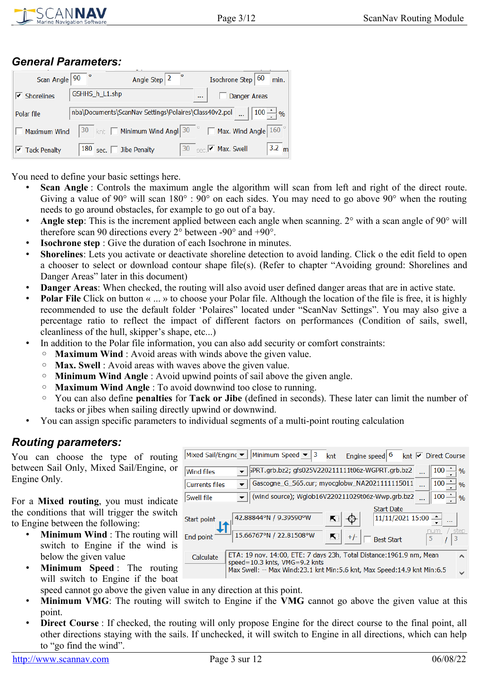

### <span id="page-2-1"></span>*General Parameters:*

| Scan Angle   90                    | Isochrone Step 60<br>Angle Step $ 2 $                                                    | min.            |
|------------------------------------|------------------------------------------------------------------------------------------|-----------------|
| $\overline{\mathsf{v}}$ Shorelines | GSHHS_h_L1.shp<br>Danger Areas<br>$\cdots$                                               |                 |
| Polar file                         | $\ldots$   100 $\rightarrow \%$<br>nba\Documents\ScanNav Settings\Polaires\Class40v2.pol |                 |
| Maximum Wind                       | 30   knt $\Box$ Minimum Wind Angl $30$   $\Box$ Max. Wind Angle $160$                    |                 |
| $\boxed{\mathbf{v}}$ Tack Penalty  | 30 $_{\text{sec}}$ $\sqrt{\phantom{a}}$ Max. Swell<br>180 sec. $\Box$ Jibe Penalty       | $3.2 \text{ m}$ |

You need to define your basic settings here.

- **Scan Angle**: Controls the maximum angle the algorithm will scan from left and right of the direct route. Giving a value of 90° will scan 180° : 90° on each sides. You may need to go above 90° when the routing needs to go around obstacles, for example to go out of a bay.
- Angle step: This is the increment applied between each angle when scanning. 2° with a scan angle of 90° will therefore scan 90 directions every 2° between -90° and +90°.
- **Isochrone step** : Give the duration of each Isochrone in minutes.
- **Shorelines**: Lets you activate or deactivate shoreline detection to avoid landing. Click o the edit field to open a chooser to select or download contour shape file(s). (Refer to chapter "Avoiding ground: Shorelines and Danger Areas" later in this document)
- **Danger Areas**: When checked, the routing will also avoid user defined danger areas that are in active state.
- **Polar File** Click on button « ... » to choose your Polar file. Although the location of the file is free, it is highly recommended to use the default folder 'Polaires" located under "ScanNav Settings". You may also give a percentage ratio to reflect the impact of different factors on performances (Condition of sails, swell, cleanliness of the hull, skipper's shape, etc...)
- In addition to the Polar file information, you can also add security or comfort constraints:
	- **Maximum Wind** : Avoid areas with winds above the given value.
	- **Max. Swell** : Avoid areas with waves above the given value.
	- **Minimum Wind Angle** : Avoid upwind points of sail above the given angle.
	- **Maximum Wind Angle** : To avoid downwind too close to running.
	- You can also define **penalties** for **Tack or Jibe** (defined in seconds). These later can limit the number of tacks or jibes when sailing directly upwind or downwind.
- You can assign specific parameters to individual segments of a multi-point routing calculation

### <span id="page-2-0"></span>*Routing parameters:*

You can choose the type of routing between Sail Only, Mixed Sail/Engine, or Engine Only.

For a **Mixed routing**, you must indicate the conditions that will trigger the switch to Engine between the following:

- **Minimum Wind** : The routing will switch to Engine if the wind is below the given value
- **Minimum Speed** : The routing will switch to Engine if the boat
- Mixed Sail/Engine  $\blacktriangleright$ Minimum Speed Engine speed 6 knt Ø Direct Course knt **Wind files** ;PRT.grb.bz2; gfs025V220211111t06z-WGPRT.grb.bz2 100  $\frac{0}{0}$  $\overline{\phantom{a}}$ Gascogne\_G\_565.cur; myocglobw\_NA2021111115011 100 Currents files  $\overline{\phantom{a}}$  $0/6$ Swell file (wind source); Wglob16V220211029t06z-Wwp.grb.bz2  $\overline{\phantom{0}}$ 100  $0/$ **Start Date** 42.88844°N / 9.39590°W Start point 11/11/2021 15:00 15.66767°N / 22.81508°W End point **Best Start** 5 ETA: 19 nov. 14:00, ETE: 7 days 23h, Total Distance: 1961.9 nm, Mean Calculate speed=10.3 knts, VMG=9.2 knts Max Swell: -- Max Wind:23.1 knt Min:5.6 knt, Max Speed:14.9 knt Min:6.5
- speed cannot go above the given value in any direction at this point.
- **Minimum VMG**: The routing will switch to Engine if the VMG cannot go above the given value at this point.
- **Direct Course**: If checked, the routing will only propose Engine for the direct course to the final point, all other directions staying with the sails. If unchecked, it will switch to Engine in all directions, which can help to "go find the wind".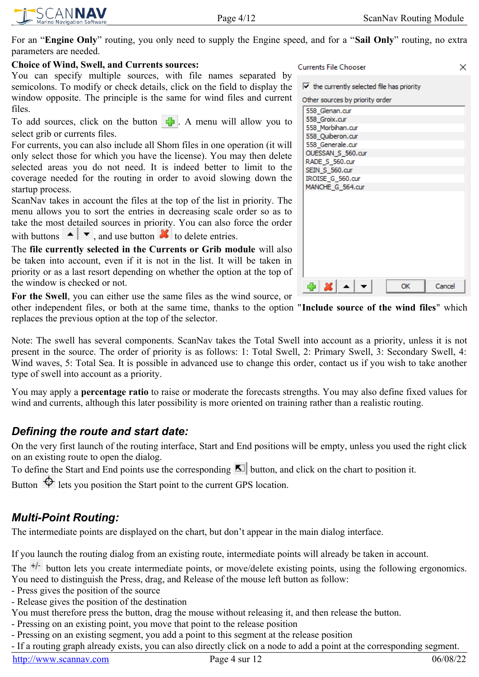SCANNAV

For an "**Engine Only**" routing, you only need to supply the Engine speed, and for a "**Sail Only**" routing, no extra parameters are needed.

#### **Choice of Wind, Swell, and Currents sources:**

You can specify multiple sources, with file names separated by semicolons. To modify or check details, click on the field to display the window opposite. The principle is the same for wind files and current files.

To add sources, click on the button  $\left| \cdot \right|$ . A menu will allow you to select grib or currents files.

For currents, you can also include all Shom files in one operation (it will only select those for which you have the license). You may then delete selected areas you do not need. It is indeed better to limit to the coverage needed for the routing in order to avoid slowing down the startup process.

ScanNav takes in account the files at the top of the list in priority. The menu allows you to sort the entries in decreasing scale order so as to take the most detailed sources in priority. You can also force the order with buttons  $\left| \bullet \right|$ , and use button  $\left| \bullet \right|$  to delete entries.

The **file currently selected in the Currents or Grib module** will also be taken into account, even if it is not in the list. It will be taken in priority or as a last resort depending on whether the option at the top of the window is checked or not.

**For the Swell**, you can either use the same files as the wind source, or

other independent files, or both at the same time, thanks to the option "**Include source of the wind files**" which replaces the previous option at the top of the selector.

Note: The swell has several components. ScanNav takes the Total Swell into account as a priority, unless it is not present in the source. The order of priority is as follows: 1: Total Swell, 2: Primary Swell, 3: Secondary Swell, 4: Wind waves, 5: Total Sea. It is possible in advanced use to change this order, contact us if you wish to take another type of swell into account as a priority.

You may apply a **percentage ratio** to raise or moderate the forecasts strengths. You may also define fixed values for wind and currents, although this later possibility is more oriented on training rather than a realistic routing.

### <span id="page-3-1"></span>*Defining the route and start date:*

On the very first launch of the routing interface, Start and End positions will be empty, unless you used the right click on an existing route to open the dialog.

To define the Start and End points use the corresponding  $\mathbb{E}$  button, and click on the chart to position it.

Button  $\bigoplus$  lets you position the Start point to the current GPS location.

# <span id="page-3-0"></span>*Multi-Point Routing:*

The intermediate points are displayed on the chart, but don't appear in the main dialog interface.

If you launch the routing dialog from an existing route, intermediate points will already be taken in account.

The <sup>+/-</sup> button lets you create intermediate points, or move/delete existing points, using the following ergonomics. You need to distinguish the Press, drag, and Release of the mouse left button as follow:

- Press gives the position of the source
- Release gives the position of the destination

You must therefore press the button, drag the mouse without releasing it, and then release the button.

- Pressing on an existing point, you move that point to the release position
- Pressing on an existing segment, you add a point to this segment at the release position
- If a routing graph already exists, you can also directly click on a node to add a point at the corresponding segment.

| Currents File Chooser                                          |    | ×      |
|----------------------------------------------------------------|----|--------|
| $\blacktriangleright$ the currently selected file has priority |    |        |
| Other sources by priority order                                |    |        |
| 558_Glenan.cur                                                 |    |        |
| 558 Groix.cur                                                  |    |        |
| 558 Morbihan.cur                                               |    |        |
| 558_Quiberon.cur                                               |    |        |
| 558 Generale.cur                                               |    |        |
| OUESSAN_S_560.cur                                              |    |        |
| RADE_S_560.cur                                                 |    |        |
| SEIN_S_560.cur                                                 |    |        |
| IROISE_G_560.cur                                               |    |        |
| MANCHE G 564.cur                                               |    |        |
|                                                                |    |        |
|                                                                |    |        |
|                                                                |    |        |
|                                                                |    |        |
|                                                                |    |        |
|                                                                |    |        |
|                                                                |    |        |
|                                                                |    |        |
|                                                                |    |        |
|                                                                |    |        |
| $+ \times$                                                     | OK | Cancel |
|                                                                |    |        |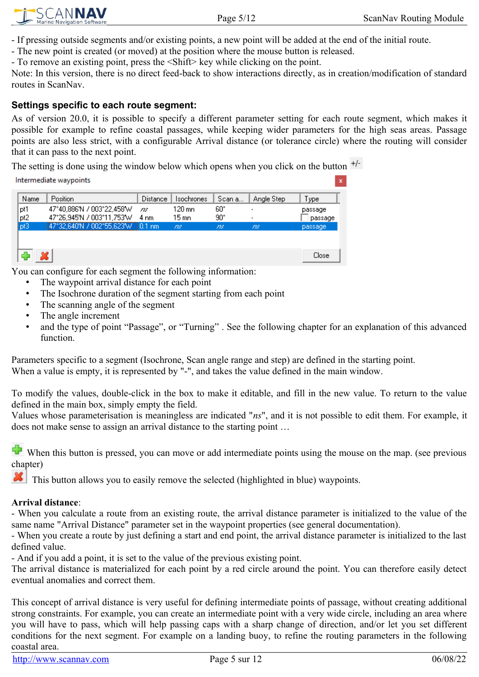$\vert x \vert$ 



- If pressing outside segments and/or existing points, a new point will be added at the end of the initial route.

- The new point is created (or moved) at the position where the mouse button is released.

- To remove an existing point, press the <Shift> key while clicking on the point.

Note: In this version, there is no direct feed-back to show interactions directly, as in creation/modification of standard routes in ScanNav.

#### <span id="page-4-0"></span>**Settings specific to each route segment:**

As of version 20.0, it is possible to specify a different parameter setting for each route segment, which makes it possible for example to refine coastal passages, while keeping wider parameters for the high seas areas. Passage points are also less strict, with a configurable Arrival distance (or tolerance circle) where the routing will consider that it can pass to the next point.

The setting is done using the window below which opens when you click on the button  $+/-$ 

Intermediate waypoints

| Name | Position                            | Distance       | <b>Isochrones</b> | Scan a | Angle Step | Type    |
|------|-------------------------------------|----------------|-------------------|--------|------------|---------|
| pt1  | 47°40,886'N / 003°22,458'W          | 728.           | 120 mn            | 60°    |            | passage |
| pt2  | 47°26,945'N / 003°11,753'W          | $4 \text{ nm}$ | 15 mn             | 90°    |            | passage |
| p3   | 47°32,640'N / 002°55,623'W   0.1 nm |                | m                 | m      | m          | passage |
|      |                                     |                |                   |        |            |         |
|      |                                     |                |                   |        |            |         |
|      |                                     |                |                   |        |            | Close   |

You can configure for each segment the following information:

- The waypoint arrival distance for each point
- The Isochrone duration of the segment starting from each point
- The scanning angle of the segment
- The angle increment
- and the type of point "Passage", or "Turning" . See the following chapter for an explanation of this advanced function.

Parameters specific to a segment (Isochrone, Scan angle range and step) are defined in the starting point. When a value is empty, it is represented by "-", and takes the value defined in the main window.

To modify the values, double-click in the box to make it editable, and fill in the new value. To return to the value defined in the main box, simply empty the field.

Values whose parameterisation is meaningless are indicated "*ns*", and it is not possible to edit them. For example, it does not make sense to assign an arrival distance to the starting point …

When this button is pressed, you can move or add intermediate points using the mouse on the map. (see previous chapter)

This button allows you to easily remove the selected (highlighted in blue) waypoints.

#### **Arrival distance**:

- When you calculate a route from an existing route, the arrival distance parameter is initialized to the value of the same name "Arrival Distance" parameter set in the waypoint properties (see general documentation).

- When you create a route by just defining a start and end point, the arrival distance parameter is initialized to the last defined value.

- And if you add a point, it is set to the value of the previous existing point.

The arrival distance is materialized for each point by a red circle around the point. You can therefore easily detect eventual anomalies and correct them.

This concept of arrival distance is very useful for defining intermediate points of passage, without creating additional strong constraints. For example, you can create an intermediate point with a very wide circle, including an area where you will have to pass, which will help passing caps with a sharp change of direction, and/or let you set different conditions for the next segment. For example on a landing buoy, to refine the routing parameters in the following coastal area.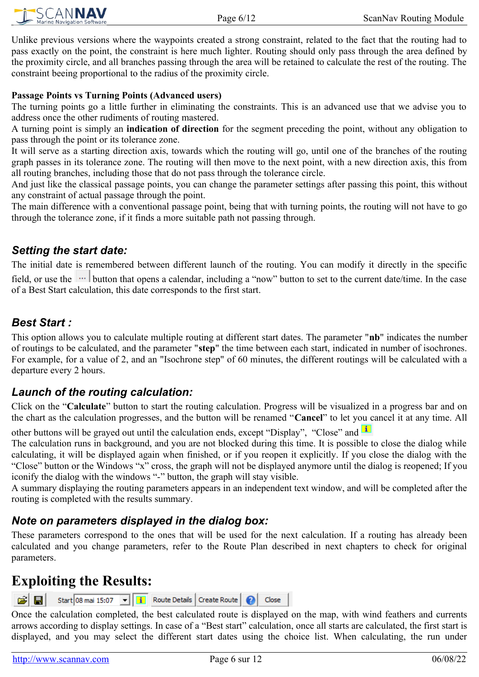

Unlike previous versions where the waypoints created a strong constraint, related to the fact that the routing had to pass exactly on the point, the constraint is here much lighter. Routing should only pass through the area defined by the proximity circle, and all branches passing through the area will be retained to calculate the rest of the routing. The constraint beeing proportional to the radius of the proximity circle.

#### **Passage Points vs Turning Points (Advanced users)**

The turning points go a little further in eliminating the constraints. This is an advanced use that we advise you to address once the other rudiments of routing mastered.

A turning point is simply an **indication of direction** for the segment preceding the point, without any obligation to pass through the point or its tolerance zone.

It will serve as a starting direction axis, towards which the routing will go, until one of the branches of the routing graph passes in its tolerance zone. The routing will then move to the next point, with a new direction axis, this from all routing branches, including those that do not pass through the tolerance circle.

And just like the classical passage points, you can change the parameter settings after passing this point, this without any constraint of actual passage through the point.

The main difference with a conventional passage point, being that with turning points, the routing will not have to go through the tolerance zone, if it finds a more suitable path not passing through.

#### <span id="page-5-4"></span>*Setting the start date:*

The initial date is remembered between different launch of the routing. You can modify it directly in the specific field, or use the  $\|\cdots\|$  button that opens a calendar, including a "now" button to set to the current date/time. In the case of a Best Start calculation, this date corresponds to the first start.

### <span id="page-5-3"></span>*Best Start :*

This option allows you to calculate multiple routing at different start dates. The parameter "**nb**" indicates the number of routings to be calculated, and the parameter "**step**" the time between each start, indicated in number of isochrones. For example, for a value of 2, and an "Isochrone step" of 60 minutes, the different routings will be calculated with a departure every 2 hours.

### <span id="page-5-2"></span>*Launch of the routing calculation:*

Click on the "**Calculate**" button to start the routing calculation. Progress will be visualized in a progress bar and on the chart as the calculation progresses, and the button will be renamed "**Cancel**" to let you cancel it at any time. All

other buttons will be grayed out until the calculation ends, except "Display", "Close" and  $\mathbf{I}$ 

The calculation runs in background, and you are not blocked during this time. It is possible to close the dialog while calculating, it will be displayed again when finished, or if you reopen it explicitly. If you close the dialog with the "Close" button or the Windows "x" cross, the graph will not be displayed anymore until the dialog is reopened; If you iconify the dialog with the windows "-" button, the graph will stay visible.

A summary displaying the routing parameters appears in an independent text window, and will be completed after the routing is completed with the results summary.

### <span id="page-5-1"></span>*Note on parameters displayed in the dialog box:*

These parameters correspond to the ones that will be used for the next calculation. If a routing has already been calculated and you change parameters, refer to the Route Plan described in next chapters to check for original parameters.

### <span id="page-5-0"></span>**Exploiting the Results:**

Start 08 mai 15:07 | | | | Route Details | Create Route | @ اھە 녑 Close

Once the calculation completed, the best calculated route is displayed on the map, with wind feathers and currents arrows according to display settings. In case of a "Best start" calculation, once all starts are calculated, the first start is displayed, and you may select the different start dates using the choice list. When calculating, the run under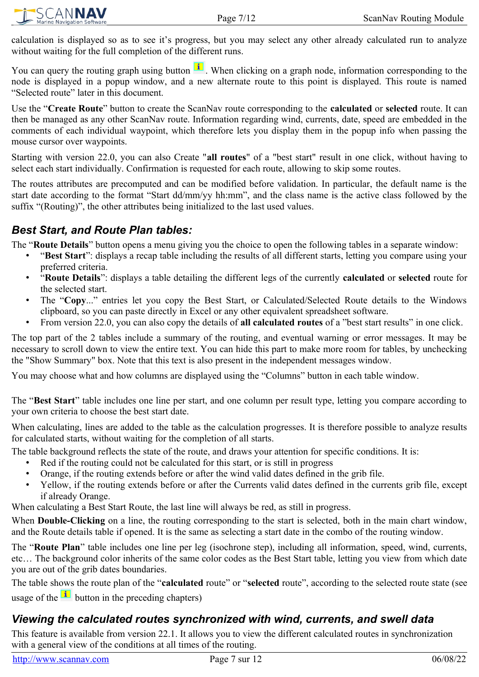

calculation is displayed so as to see it's progress, but you may select any other already calculated run to analyze without waiting for the full completion of the different runs.

You can query the routing graph using button  $\mathbf{I}$ . When clicking on a graph node, information corresponding to the node is displayed in a popup window, and a new alternate route to this point is displayed. This route is named "Selected route" later in this document.

Use the "**Create Route**" button to create the ScanNav route corresponding to the **calculated** or **selected** route. It can then be managed as any other ScanNav route. Information regarding wind, currents, date, speed are embedded in the comments of each individual waypoint, which therefore lets you display them in the popup info when passing the mouse cursor over waypoints.

Starting with version 22.0, you can also Create "**all routes**" of a "best start" result in one click, without having to select each start individually. Confirmation is requested for each route, allowing to skip some routes.

The routes attributes are precomputed and can be modified before validation. In particular, the default name is the start date according to the format "Start dd/mm/yy hh:mm", and the class name is the active class followed by the suffix "(Routing)", the other attributes being initialized to the last used values.

### <span id="page-6-1"></span>*Best Start, and Route Plan tables:*

The "**Route Details**" button opens a menu giving you the choice to open the following tables in a separate window:

- "**Best Start**": displays a recap table including the results of all different starts, letting you compare using your preferred criteria.
- "**Route Details**": displays a table detailing the different legs of the currently **calculated** or **selected** route for the selected start.
- The "**Copy**..." entries let you copy the Best Start, or Calculated/Selected Route details to the Windows clipboard, so you can paste directly in Excel or any other equivalent spreadsheet software.
- From version 22.0, you can also copy the details of **all calculated routes** of a "best start results" in one click.

The top part of the 2 tables include a summary of the routing, and eventual warning or error messages. It may be necessary to scroll down to view the entire text. You can hide this part to make more room for tables, by unchecking the "Show Summary" box. Note that this text is also present in the independent messages window.

You may choose what and how columns are displayed using the "Columns" button in each table window.

The "**Best Start**" table includes one line per start, and one column per result type, letting you compare according to your own criteria to choose the best start date.

When calculating, lines are added to the table as the calculation progresses. It is therefore possible to analyze results for calculated starts, without waiting for the completion of all starts.

The table background reflects the state of the route, and draws your attention for specific conditions. It is:

- Red if the routing could not be calculated for this start, or is still in progress
- Orange, if the routing extends before or after the wind valid dates defined in the grib file.
- Yellow, if the routing extends before or after the Currents valid dates defined in the currents grib file, except if already Orange.

When calculating a Best Start Route, the last line will always be red, as still in progress.

When **Double-Clicking** on a line, the routing corresponding to the start is selected, both in the main chart window, and the Route details table if opened. It is the same as selecting a start date in the combo of the routing window.

The "**Route Plan**" table includes one line per leg (isochrone step), including all information, speed, wind, currents, etc… The background color inherits of the same color codes as the Best Start table, letting you view from which date you are out of the grib dates boundaries.

The table shows the route plan of the "**calculated** route" or "**selected** route", according to the selected route state (see usage of the  $\frac{1}{\sqrt{2}}$  button in the preceding chapters)

### <span id="page-6-0"></span>*Viewing the calculated routes synchronized with wind, currents, and swell data*

This feature is available from version 22.1. It allows you to view the different calculated routes in synchronization with a general view of the conditions at all times of the routing.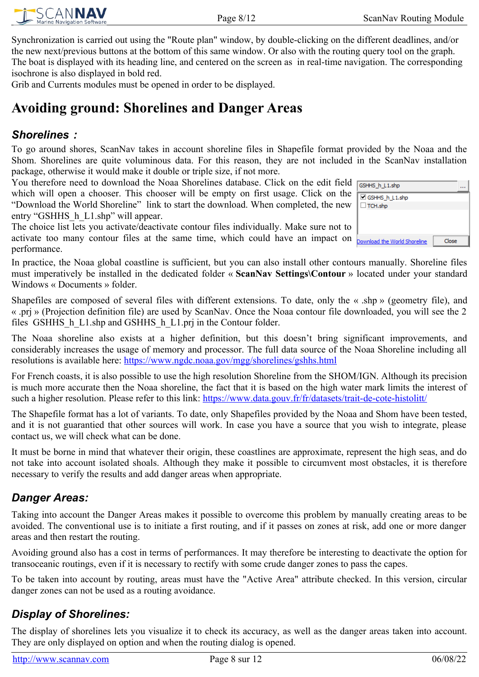SCANNAV

Synchronization is carried out using the "Route plan" window, by double-clicking on the different deadlines, and/or the new next/previous buttons at the bottom of this same window. Or also with the routing query tool on the graph. The boat is displayed with its heading line, and centered on the screen as in real-time navigation. The corresponding isochrone is also displayed in bold red.

Grib and Currents modules must be opened in order to be displayed.

# <span id="page-7-3"></span>**Avoiding ground: Shorelines and Danger Areas**

### <span id="page-7-2"></span>*Shorelines :*

To go around shores, ScanNav takes in account shoreline files in Shapefile format provided by the Noaa and the Shom. Shorelines are quite voluminous data. For this reason, they are not included in the ScanNav installation package, otherwise it would make it double or triple size, if not more.

You therefore need to download the Noaa Shorelines database. Click on the edit field which will open a chooser. This chooser will be empty on first usage. Click on the "Download the World Shoreline" link to start the download. When completed, the new entry "GSHHS\_h\_L1.shp" will appear.

The choice list lets you activate/deactivate contour files individually. Make sure not to activate too many contour files at the same time, which could have an impact on performance.

In practice, the Noaa global coastline is sufficient, but you can also install other contours manually. Shoreline files must imperatively be installed in the dedicated folder « **ScanNav Settings\Contour** » located under your standard Windows « Documents » folder.

Shapefiles are composed of several files with different extensions. To date, only the « .shp » (geometry file), and « .prj » (Projection definition file) are used by ScanNav. Once the Noaa contour file downloaded, you will see the 2 files GSHHS h L1.shp and GSHHS h L1.prj in the Contour folder.

The Noaa shoreline also exists at a higher definition, but this doesn't bring significant improvements, and considerably increases the usage of memory and processor. The full data source of the Noaa Shoreline including all resolutions is available here:<https://www.ngdc.noaa.gov/mgg/shorelines/gshhs.html>

For French coasts, it is also possible to use the high resolution Shoreline from the SHOM/IGN. Although its precision is much more accurate then the Noaa shoreline, the fact that it is based on the high water mark limits the interest of such a higher resolution. Please refer to this link:<https://www.data.gouv.fr/fr/datasets/trait-de-cote-histolitt/>

The Shapefile format has a lot of variants. To date, only Shapefiles provided by the Noaa and Shom have been tested, and it is not guarantied that other sources will work. In case you have a source that you wish to integrate, please contact us, we will check what can be done.

It must be borne in mind that whatever their origin, these coastlines are approximate, represent the high seas, and do not take into account isolated shoals. Although they make it possible to circumvent most obstacles, it is therefore necessary to verify the results and add danger areas when appropriate.

### <span id="page-7-1"></span>*Danger Areas:*

Taking into account the Danger Areas makes it possible to overcome this problem by manually creating areas to be avoided. The conventional use is to initiate a first routing, and if it passes on zones at risk, add one or more danger areas and then restart the routing.

Avoiding ground also has a cost in terms of performances. It may therefore be interesting to deactivate the option for transoceanic routings, even if it is necessary to rectify with some crude danger zones to pass the capes.

To be taken into account by routing, areas must have the "Active Area" attribute checked. In this version, circular danger zones can not be used as a routing avoidance.

### <span id="page-7-0"></span>*Display of Shorelines:*

The display of shorelines lets you visualize it to check its accuracy, as well as the danger areas taken into account. They are only displayed on option and when the routing dialog is opened.

| GSHHS h L1.shp               |       |  |
|------------------------------|-------|--|
| GSHHS_h_L1.shp               |       |  |
| $\Box$ TCH.shp               |       |  |
|                              |       |  |
|                              |       |  |
|                              |       |  |
| Download the World Shoreline | Close |  |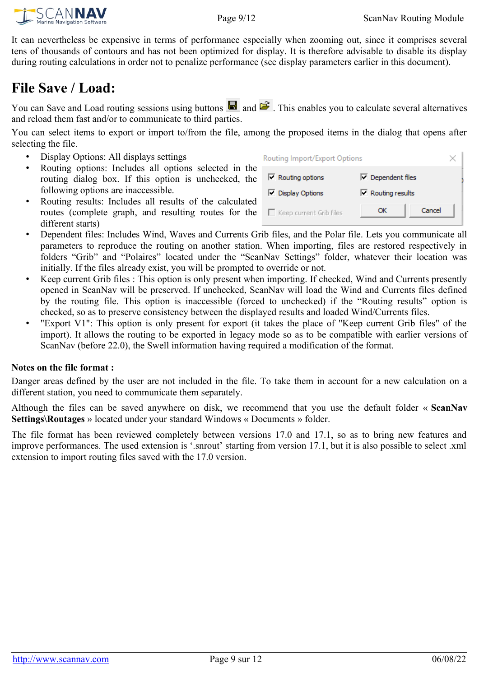It can nevertheless be expensive in terms of performance especially when zooming out, since it comprises several tens of thousands of contours and has not been optimized for display. It is therefore advisable to disable its display during routing calculations in order not to penalize performance (see display parameters earlier in this document).

# <span id="page-8-0"></span>**File Save / Load:**

You can Save and Load routing sessions using buttons  $\Box$  and  $\Box$ . This enables you to calculate several alternatives and reload them fast and/or to communicate to third parties.

You can select items to export or import to/from the file, among the proposed items in the dialog that opens after selecting the file.

- Display Options: All displays settings
- Routing options: Includes all options selected in the routing dialog box. If this option is unchecked, the following options are inaccessible.
- Routing results: Includes all results of the calculated routes (complete graph, and resulting routes for the different starts)
- Dependent files: Includes Wind, Waves and Currents Grib files, and the Polar file. Lets you communicate all parameters to reproduce the routing on another station. When importing, files are restored respectively in folders "Grib" and "Polaires" located under the "ScanNav Settings" folder, whatever their location was initially. If the files already exist, you will be prompted to override or not.
- Keep current Grib files : This option is only present when importing. If checked, Wind and Currents presently opened in ScanNav will be preserved. If unchecked, ScanNav will load the Wind and Currents files defined by the routing file. This option is inaccessible (forced to unchecked) if the "Routing results" option is checked, so as to preserve consistency between the displayed results and loaded Wind/Currents files.
- "Export V1": This option is only present for export (it takes the place of "Keep current Grib files" of the import). It allows the routing to be exported in legacy mode so as to be compatible with earlier versions of ScanNav (before 22.0), the Swell information having required a modification of the format.

#### **Notes on the file format :**

Danger areas defined by the user are not included in the file. To take them in account for a new calculation on a different station, you need to communicate them separately.

Although the files can be saved anywhere on disk, we recommend that you use the default folder « **ScanNav Settings\Routages** » located under your standard Windows « Documents » folder.

The file format has been reviewed completely between versions 17.0 and 17.1, so as to bring new features and improve performances. The used extension is '.snrout' starting from version 17.1, but it is also possible to select .xml extension to import routing files saved with the 17.0 version.

| Routing Import/Export Options   |                          |        |
|---------------------------------|--------------------------|--------|
| $\triangledown$ Routing options | Dependent files          |        |
| Display Options                 | $\nabla$ Routing results |        |
| $\Box$ Keep current Grib files  | ОК                       | Cancel |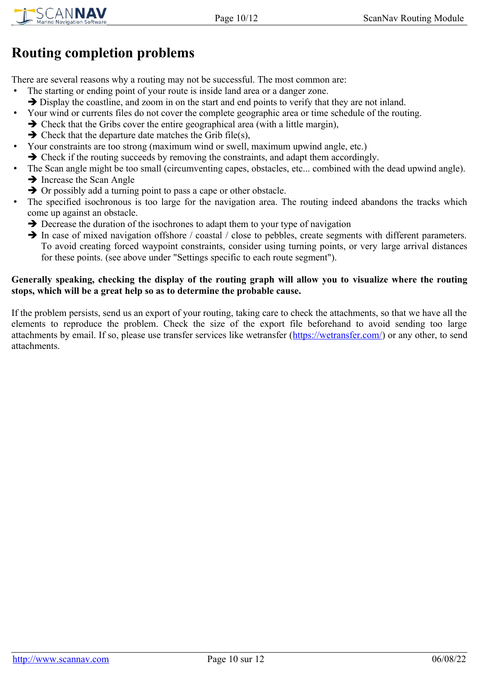# <span id="page-9-0"></span>**Routing completion problems**

There are several reasons why a routing may not be successful. The most common are:

- The starting or ending point of your route is inside land area or a danger zone.
	- $\rightarrow$  Display the coastline, and zoom in on the start and end points to verify that they are not inland.
- Your wind or currents files do not cover the complete geographic area or time schedule of the routing.
	- ➔ Check that the Gribs cover the entire geographical area (with a little margin),
	- $\rightarrow$  Check that the departure date matches the Grib file(s),
- Your constraints are too strong (maximum wind or swell, maximum upwind angle, etc.)
	- ➔ Check if the routing succeeds by removing the constraints, and adapt them accordingly.
- The Scan angle might be too small (circumventing capes, obstacles, etc... combined with the dead upwind angle). ➔ Increase the Scan Angle
	- **→** Or possibly add a turning point to pass a cape or other obstacle.
- The specified isochronous is too large for the navigation area. The routing indeed abandons the tracks which come up against an obstacle.
	- ➔ Decrease the duration of the isochrones to adapt them to your type of navigation
	- → In case of mixed navigation offshore / coastal / close to pebbles, create segments with different parameters. To avoid creating forced waypoint constraints, consider using turning points, or very large arrival distances for these points. (see above under "Settings specific to each route segment").

#### **Generally speaking, checking the display of the routing graph will allow you to visualize where the routing stops, which will be a great help so as to determine the probable cause.**

If the problem persists, send us an export of your routing, taking care to check the attachments, so that we have all the elements to reproduce the problem. Check the size of the export file beforehand to avoid sending too large attachments by email. If so, please use transfer services like wetransfer (<https://wetransfer.com/>) or any other, to send attachments.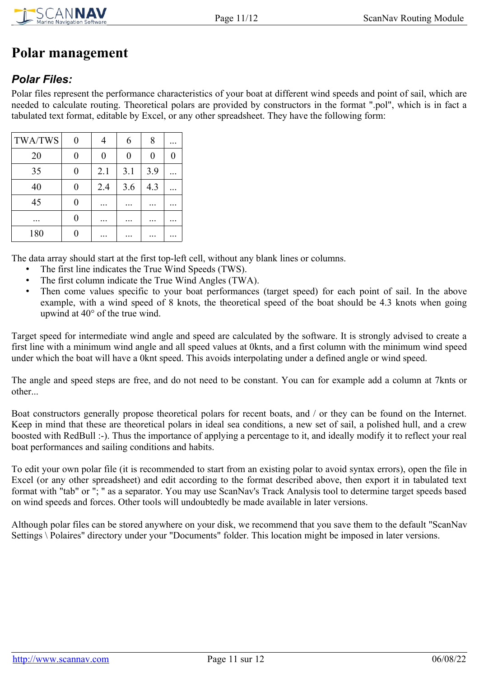

# <span id="page-10-1"></span>**Polar management**

### <span id="page-10-0"></span>*Polar Files:*

Polar files represent the performance characteristics of your boat at different wind speeds and point of sail, which are needed to calculate routing. Theoretical polars are provided by constructors in the format ".pol", which is in fact a tabulated text format, editable by Excel, or any other spreadsheet. They have the following form:

| <b>TWA/TWS</b> | 0 |     | 6   | 8   |          |
|----------------|---|-----|-----|-----|----------|
| 20             | 0 | 0   | 0   | 0   | $\theta$ |
| 35             | 0 | 2.1 | 3.1 | 3.9 |          |
| 40             | 0 | 2.4 | 3.6 | 4.3 |          |
| 45             | 0 |     |     |     |          |
|                | 0 |     |     |     |          |
| 180            |   |     |     |     |          |

The data array should start at the first top-left cell, without any blank lines or columns.

- The first line indicates the True Wind Speeds (TWS).
- The first column indicate the True Wind Angles (TWA).
- Then come values specific to your boat performances (target speed) for each point of sail. In the above example, with a wind speed of 8 knots, the theoretical speed of the boat should be 4.3 knots when going upwind at 40° of the true wind.

Target speed for intermediate wind angle and speed are calculated by the software. It is strongly advised to create a first line with a minimum wind angle and all speed values at 0knts, and a first column with the minimum wind speed under which the boat will have a 0knt speed. This avoids interpolating under a defined angle or wind speed.

The angle and speed steps are free, and do not need to be constant. You can for example add a column at 7knts or other...

Boat constructors generally propose theoretical polars for recent boats, and / or they can be found on the Internet. Keep in mind that these are theoretical polars in ideal sea conditions, a new set of sail, a polished hull, and a crew boosted with RedBull :-). Thus the importance of applying a percentage to it, and ideally modify it to reflect your real boat performances and sailing conditions and habits.

To edit your own polar file (it is recommended to start from an existing polar to avoid syntax errors), open the file in Excel (or any other spreadsheet) and edit according to the format described above, then export it in tabulated text format with "tab" or "; " as a separator. You may use ScanNav's Track Analysis tool to determine target speeds based on wind speeds and forces. Other tools will undoubtedly be made available in later versions.

Although polar files can be stored anywhere on your disk, we recommend that you save them to the default "ScanNav Settings \ Polaires" directory under your "Documents" folder. This location might be imposed in later versions.